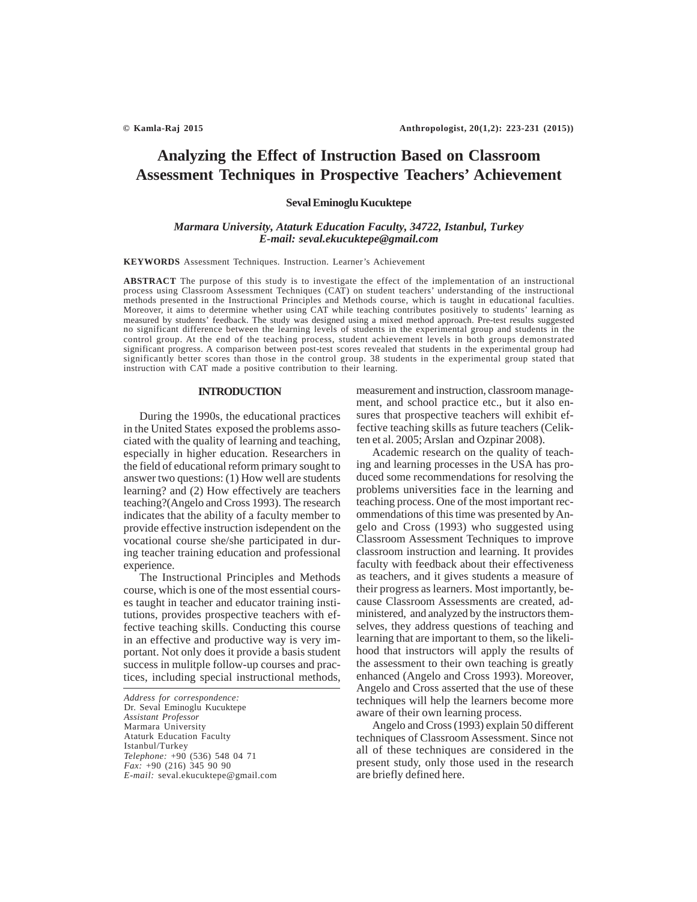# **Analyzing the Effect of Instruction Based on Classroom Assessment Techniques in Prospective Teachers' Achievement**

#### **Seval Eminoglu Kucuktepe**

#### *Marmara University, Ataturk Education Faculty, 34722, Istanbul, Turkey E-mail: seval.ekucuktepe@gmail.com*

**KEYWORDS** Assessment Techniques. Instruction. Learner's Achievement

**ABSTRACT** The purpose of this study is to investigate the effect of the implementation of an instructional process using Classroom Assessment Techniques (CAT) on student teachers' understanding of the instructional methods presented in the Instructional Principles and Methods course, which is taught in educational faculties. Moreover, it aims to determine whether using CAT while teaching contributes positively to students' learning as measured by students' feedback. The study was designed using a mixed method approach. Pre-test results suggested no significant difference between the learning levels of students in the experimental group and students in the control group. At the end of the teaching process, student achievement levels in both groups demonstrated significant progress. A comparison between post-test scores revealed that students in the experimental group had significantly better scores than those in the control group. 38 students in the experimental group stated that instruction with CAT made a positive contribution to their learning.

#### **INTRODUCTION**

During the 1990s, the educational practices in the United States exposed the problems associated with the quality of learning and teaching, especially in higher education. Researchers in the field of educational reform primary sought to answer two questions: (1) How well are students learning? and (2) How effectively are teachers teaching?(Angelo and Cross 1993). The research indicates that the ability of a faculty member to provide effective instruction isdependent on the vocational course she/she participated in during teacher training education and professional experience.

The Instructional Principles and Methods course, which is one of the most essential courses taught in teacher and educator training institutions, provides prospective teachers with effective teaching skills. Conducting this course in an effective and productive way is very important. Not only does it provide a basis student success in mulitple follow-up courses and practices, including special instructional methods,

*Address for correspondence:* Dr. Seval Eminoglu Kucuktepe *Assistant Professor* Marmara University Ataturk Education Faculty Istanbul/Turkey *Telephone:* +90 (536) 548 04 71 *Fax:* +90 (216) 345 90 90 *E-mail:* seval.ekucuktepe@gmail.com measurement and instruction, classroom management, and school practice etc., but it also ensures that prospective teachers will exhibit effective teaching skills as future teachers (Celikten et al. 2005; Arslan and Ozpinar 2008).

Academic research on the quality of teaching and learning processes in the USA has produced some recommendations for resolving the problems universities face in the learning and teaching process. One of the most important recommendations of this time was presented by Angelo and Cross (1993) who suggested using Classroom Assessment Techniques to improve classroom instruction and learning. It provides faculty with feedback about their effectiveness as teachers, and it gives students a measure of their progress as learners. Most importantly, because Classroom Assessments are created, administered, and analyzed by the instructors themselves, they address questions of teaching and learning that are important to them, so the likelihood that instructors will apply the results of the assessment to their own teaching is greatly enhanced (Angelo and Cross 1993). Moreover, Angelo and Cross asserted that the use of these techniques will help the learners become more aware of their own learning process.

Angelo and Cross (1993) explain 50 different techniques of Classroom Assessment. Since not all of these techniques are considered in the present study, only those used in the research are briefly defined here.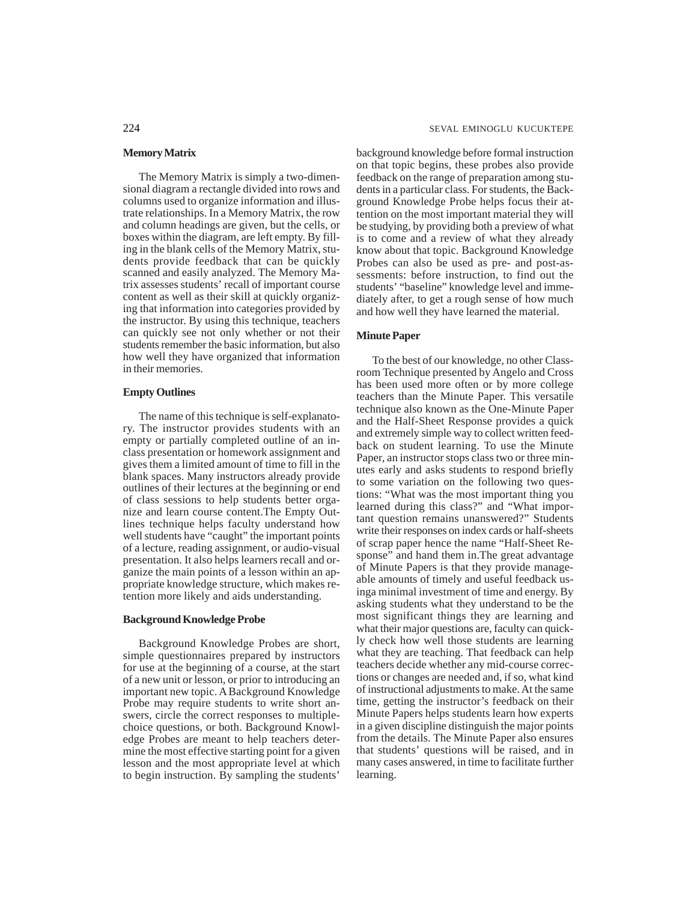#### **Memory Matrix**

The Memory Matrix is simply a two-dimensional diagram a rectangle divided into rows and columns used to organize information and illustrate relationships. In a Memory Matrix, the row and column headings are given, but the cells, or boxes within the diagram, are left empty. By filling in the blank cells of the Memory Matrix, students provide feedback that can be quickly scanned and easily analyzed. The Memory Matrix assesses students' recall of important course content as well as their skill at quickly organizing that information into categories provided by the instructor. By using this technique, teachers can quickly see not only whether or not their students remember the basic information, but also how well they have organized that information in their memories.

#### **Empty Outlines**

The name of this technique is self-explanatory. The instructor provides students with an empty or partially completed outline of an inclass presentation or homework assignment and gives them a limited amount of time to fill in the blank spaces. Many instructors already provide outlines of their lectures at the beginning or end of class sessions to help students better organize and learn course content.The Empty Outlines technique helps faculty understand how well students have "caught" the important points of a lecture, reading assignment, or audio-visual presentation. It also helps learners recall and organize the main points of a lesson within an appropriate knowledge structure, which makes retention more likely and aids understanding.

#### **Background Knowledge Probe**

Background Knowledge Probes are short, simple questionnaires prepared by instructors for use at the beginning of a course, at the start of a new unit or lesson, or prior to introducing an important new topic. A Background Knowledge Probe may require students to write short answers, circle the correct responses to multiplechoice questions, or both. Background Knowledge Probes are meant to help teachers determine the most effective starting point for a given lesson and the most appropriate level at which to begin instruction. By sampling the students'

background knowledge before formal instruction on that topic begins, these probes also provide feedback on the range of preparation among students in a particular class. For students, the Background Knowledge Probe helps focus their attention on the most important material they will be studying, by providing both a preview of what is to come and a review of what they already know about that topic. Background Knowledge Probes can also be used as pre- and post-assessments: before instruction, to find out the students' "baseline" knowledge level and immediately after, to get a rough sense of how much and how well they have learned the material.

#### **Minute Paper**

To the best of our knowledge, no other Classroom Technique presented by Angelo and Cross has been used more often or by more college teachers than the Minute Paper. This versatile technique also known as the One-Minute Paper and the Half-Sheet Response provides a quick and extremely simple way to collect written feedback on student learning. To use the Minute Paper, an instructor stops class two or three minutes early and asks students to respond briefly to some variation on the following two questions: "What was the most important thing you learned during this class?" and "What important question remains unanswered?" Students write their responses on index cards or half-sheets of scrap paper hence the name "Half-Sheet Response" and hand them in.The great advantage of Minute Papers is that they provide manageable amounts of timely and useful feedback usinga minimal investment of time and energy. By asking students what they understand to be the most significant things they are learning and what their major questions are, faculty can quickly check how well those students are learning what they are teaching. That feedback can help teachers decide whether any mid-course corrections or changes are needed and, if so, what kind of instructional adjustments to make. At the same time, getting the instructor's feedback on their Minute Papers helps students learn how experts in a given discipline distinguish the major points from the details. The Minute Paper also ensures that students' questions will be raised, and in many cases answered, in time to facilitate further learning.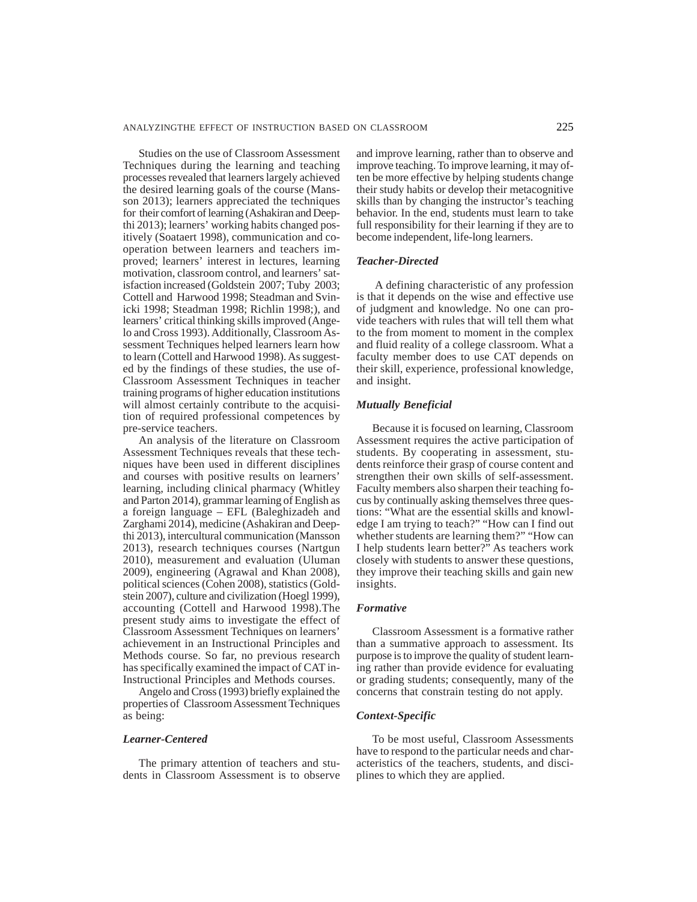Studies on the use of Classroom Assessment Techniques during the learning and teaching processes revealed that learners largely achieved the desired learning goals of the course (Mansson 2013); learners appreciated the techniques for their comfort of learning (Ashakiran and Deepthi 2013); learners' working habits changed positively (Soataert 1998), communication and cooperation between learners and teachers improved; learners' interest in lectures, learning motivation, classroom control, and learners' satisfaction increased (Goldstein 2007; Tuby 2003; Cottell and Harwood 1998; Steadman and Svinicki 1998; Steadman 1998; Richlin 1998;), and learners' critical thinking skills improved (Angelo and Cross 1993). Additionally, Classroom Assessment Techniques helped learners learn how to learn (Cottell and Harwood 1998). As suggested by the findings of these studies, the use of-Classroom Assessment Techniques in teacher training programs of higher education institutions will almost certainly contribute to the acquisition of required professional competences by pre-service teachers.

An analysis of the literature on Classroom Assessment Techniques reveals that these techniques have been used in different disciplines and courses with positive results on learners' learning, including clinical pharmacy (Whitley and Parton 2014), grammar learning of English as a foreign language – EFL (Baleghizadeh and Zarghami 2014), medicine (Ashakiran and Deepthi 2013), intercultural communication (Mansson 2013), research techniques courses (Nartgun 2010), measurement and evaluation (Uluman 2009), engineering (Agrawal and Khan 2008), political sciences (Cohen 2008), statistics (Goldstein 2007), culture and civilization (Hoegl 1999), accounting (Cottell and Harwood 1998).The present study aims to investigate the effect of Classroom Assessment Techniques on learners' achievement in an Instructional Principles and Methods course. So far, no previous research has specifically examined the impact of CAT in-Instructional Principles and Methods courses.

Angelo and Cross (1993) briefly explained the properties of Classroom Assessment Techniques as being:

#### *Learner-Centered*

The primary attention of teachers and students in Classroom Assessment is to observe and improve learning, rather than to observe and improve teaching. To improve learning, it may often be more effective by helping students change their study habits or develop their metacognitive skills than by changing the instructor's teaching behavior. In the end, students must learn to take full responsibility for their learning if they are to become independent, life-long learners.

#### *Teacher-Directed*

 A defining characteristic of any profession is that it depends on the wise and effective use of judgment and knowledge. No one can provide teachers with rules that will tell them what to the from moment to moment in the complex and fluid reality of a college classroom. What a faculty member does to use CAT depends on their skill, experience, professional knowledge, and insight.

#### *Mutually Beneficial*

Because it is focused on learning, Classroom Assessment requires the active participation of students. By cooperating in assessment, students reinforce their grasp of course content and strengthen their own skills of self-assessment. Faculty members also sharpen their teaching focus by continually asking themselves three questions: "What are the essential skills and knowledge I am trying to teach?" "How can I find out whether students are learning them?" "How can I help students learn better?" As teachers work closely with students to answer these questions, they improve their teaching skills and gain new insights.

#### *Formative*

Classroom Assessment is a formative rather than a summative approach to assessment. Its purpose is to improve the quality of student learning rather than provide evidence for evaluating or grading students; consequently, many of the concerns that constrain testing do not apply.

#### *Context-Specific*

To be most useful, Classroom Assessments have to respond to the particular needs and characteristics of the teachers, students, and disciplines to which they are applied.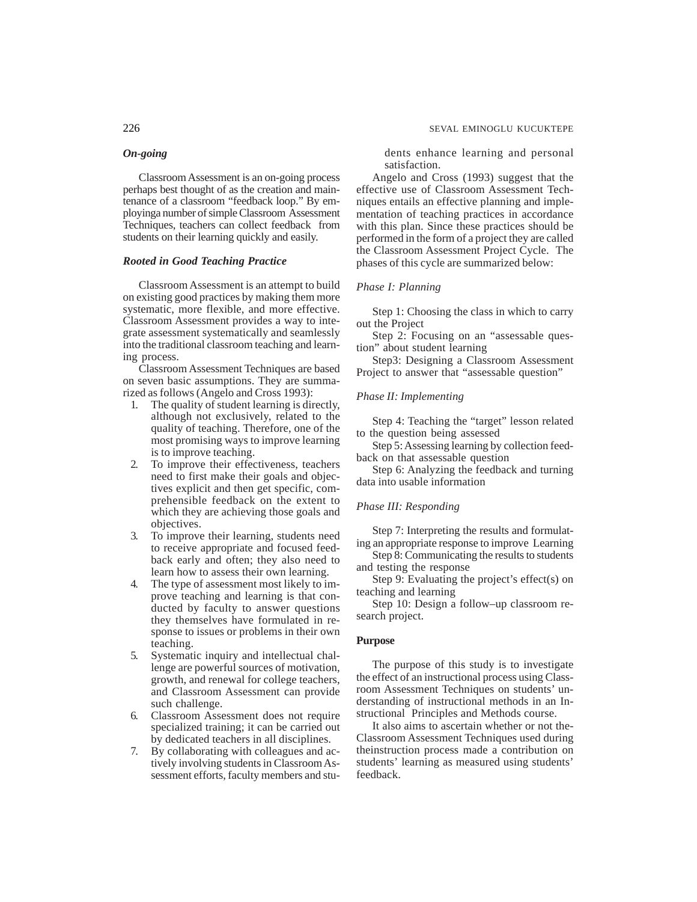Classroom Assessment is an on-going process perhaps best thought of as the creation and maintenance of a classroom "feedback loop." By employinga number of simple Classroom Assessment Techniques, teachers can collect feedback from students on their learning quickly and easily.

#### *Rooted in Good Teaching Practice*

Classroom Assessment is an attempt to build on existing good practices by making them more systematic, more flexible, and more effective. Classroom Assessment provides a way to integrate assessment systematically and seamlessly into the traditional classroom teaching and learning process.

Classroom Assessment Techniques are based on seven basic assumptions. They are summarized as follows (Angelo and Cross 1993):

- 1. The quality of student learning is directly, although not exclusively, related to the quality of teaching. Therefore, one of the most promising ways to improve learning is to improve teaching.
- 2. To improve their effectiveness, teachers need to first make their goals and objectives explicit and then get specific, comprehensible feedback on the extent to which they are achieving those goals and objectives.
- 3. To improve their learning, students need to receive appropriate and focused feedback early and often; they also need to learn how to assess their own learning.
- 4. The type of assessment most likely to improve teaching and learning is that conducted by faculty to answer questions they themselves have formulated in response to issues or problems in their own teaching.
- 5. Systematic inquiry and intellectual challenge are powerful sources of motivation, growth, and renewal for college teachers, and Classroom Assessment can provide such challenge.
- 6. Classroom Assessment does not require specialized training; it can be carried out by dedicated teachers in all disciplines.
- 7. By collaborating with colleagues and actively involving students in Classroom Assessment efforts, faculty members and stu-

226 SEVAL EMINOGLU KUCUKTEPE

dents enhance learning and personal satisfaction.

Angelo and Cross (1993) suggest that the effective use of Classroom Assessment Techniques entails an effective planning and implementation of teaching practices in accordance with this plan. Since these practices should be performed in the form of a project they are called the Classroom Assessment Project Cycle. The phases of this cycle are summarized below:

### *Phase I: Planning*

Step 1: Choosing the class in which to carry out the Project

Step 2: Focusing on an "assessable question" about student learning

Step3: Designing a Classroom Assessment Project to answer that "assessable question"

#### *Phase II: Implementing*

Step 4: Teaching the "target" lesson related to the question being assessed

Step 5: Assessing learning by collection feedback on that assessable question

Step 6: Analyzing the feedback and turning data into usable information

#### *Phase III: Responding*

Step 7: Interpreting the results and formulating an appropriate response to improve Learning

Step 8: Communicating the results to students and testing the response

Step 9: Evaluating the project's effect(s) on teaching and learning

Step 10: Design a follow–up classroom research project.

#### **Purpose**

The purpose of this study is to investigate the effect of an instructional process using Classroom Assessment Techniques on students' understanding of instructional methods in an Instructional Principles and Methods course.

It also aims to ascertain whether or not the-Classroom Assessment Techniques used during theinstruction process made a contribution on students' learning as measured using students' feedback.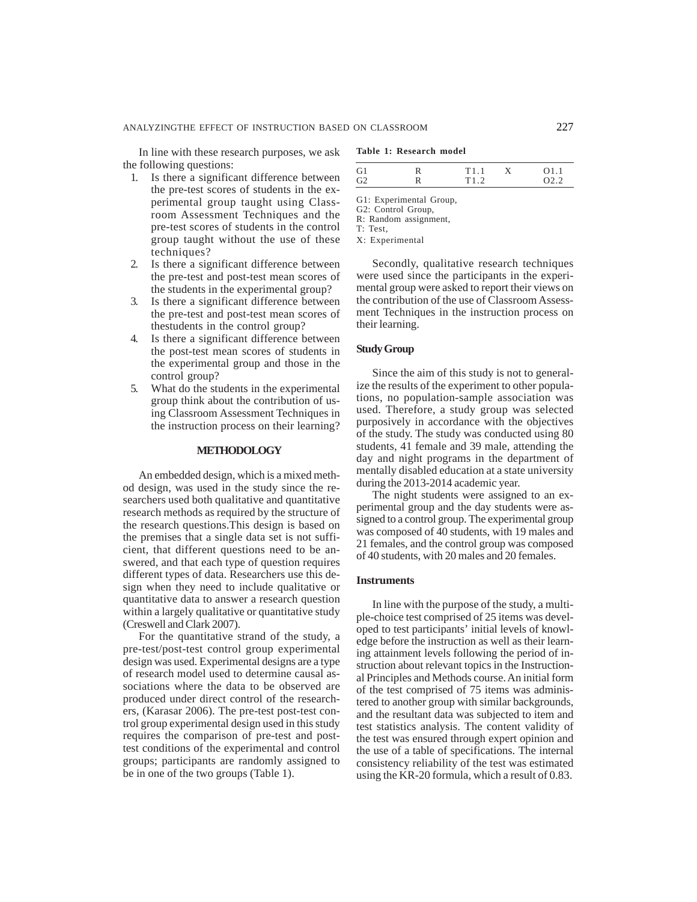In line with these research purposes, we ask the following questions:

## 1. Is there a significant difference between the pre-test scores of students in the experimental group taught using Classroom Assessment Techniques and the pre-test scores of students in the control group taught without the use of these techniques?

- 2. Is there a significant difference between the pre-test and post-test mean scores of the students in the experimental group?
- 3. Is there a significant difference between the pre-test and post-test mean scores of thestudents in the control group?
- 4. Is there a significant difference between the post-test mean scores of students in the experimental group and those in the control group?
- 5. What do the students in the experimental group think about the contribution of using Classroom Assessment Techniques in the instruction process on their learning?

#### **METHODOLOGY**

An embedded design, which is a mixed method design, was used in the study since the researchers used both qualitative and quantitative research methods as required by the structure of the research questions.This design is based on the premises that a single data set is not sufficient, that different questions need to be answered, and that each type of question requires different types of data. Researchers use this design when they need to include qualitative or quantitative data to answer a research question within a largely qualitative or quantitative study (Creswell and Clark 2007).

For the quantitative strand of the study, a pre-test/post-test control group experimental design was used. Experimental designs are a type of research model used to determine causal associations where the data to be observed are produced under direct control of the researchers, (Karasar 2006). The pre-test post-test control group experimental design used in this study requires the comparison of pre-test and posttest conditions of the experimental and control groups; participants are randomly assigned to be in one of the two groups (Table 1).

|  |  | Table 1: Research model |  |
|--|--|-------------------------|--|
|--|--|-------------------------|--|

| G <sub>1</sub> | 1' 1 1 |     |
|----------------|--------|-----|
| G              | T19    | റാറ |

- G1: Experimental Group,
- G2: Control Group, R: Random assignment,
- T: Test,
- X: Experimental

Secondly, qualitative research techniques were used since the participants in the experimental group were asked to report their views on the contribution of the use of Classroom Assessment Techniques in the instruction process on their learning.

#### **Study Group**

Since the aim of this study is not to generalize the results of the experiment to other populations, no population-sample association was used. Therefore, a study group was selected purposively in accordance with the objectives of the study. The study was conducted using 80 students, 41 female and 39 male, attending the day and night programs in the department of mentally disabled education at a state university during the 2013-2014 academic year.

The night students were assigned to an experimental group and the day students were assigned to a control group. The experimental group was composed of 40 students, with 19 males and 21 females, and the control group was composed of 40 students, with 20 males and 20 females.

#### **Instruments**

In line with the purpose of the study, a multiple-choice test comprised of 25 items was developed to test participants' initial levels of knowledge before the instruction as well as their learning attainment levels following the period of instruction about relevant topics in the Instructional Principles and Methods course. An initial form of the test comprised of 75 items was administered to another group with similar backgrounds, and the resultant data was subjected to item and test statistics analysis. The content validity of the test was ensured through expert opinion and the use of a table of specifications. The internal consistency reliability of the test was estimated using the KR-20 formula, which a result of 0.83.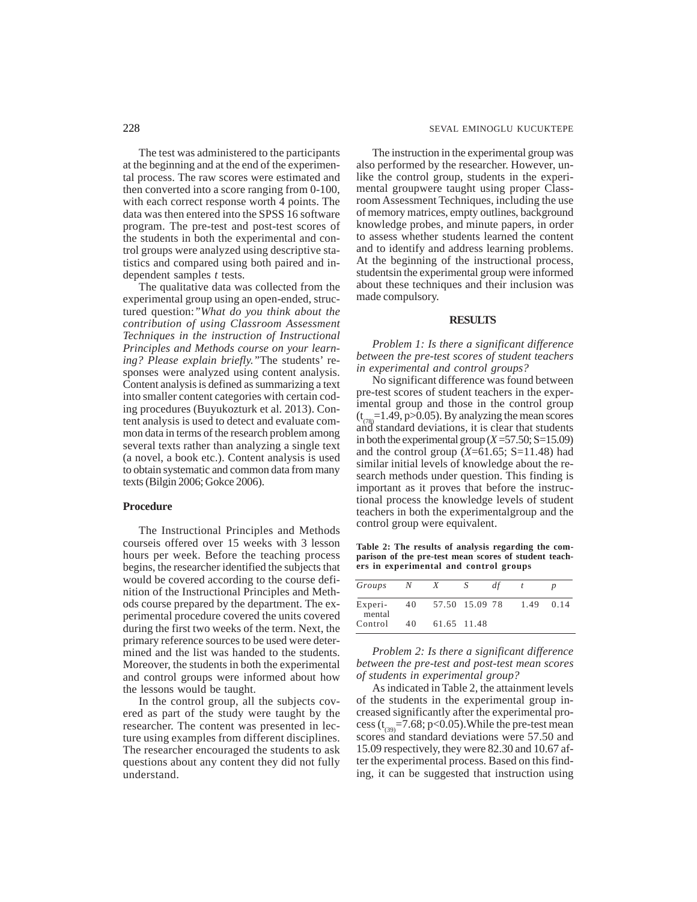The test was administered to the participants at the beginning and at the end of the experimental process. The raw scores were estimated and then converted into a score ranging from 0-100, with each correct response worth 4 points. The data was then entered into the SPSS 16 software program. The pre-test and post-test scores of the students in both the experimental and control groups were analyzed using descriptive statistics and compared using both paired and independent samples *t* tests.

The qualitative data was collected from the experimental group using an open-ended, structured question:*"What do you think about the contribution of using Classroom Assessment Techniques in the instruction of Instructional Principles and Methods course on your learning? Please explain briefly."*The students' responses were analyzed using content analysis. Content analysis is defined as summarizing a text into smaller content categories with certain coding procedures (Buyukozturk et al. 2013). Content analysis is used to detect and evaluate common data in terms of the research problem among several texts rather than analyzing a single text (a novel, a book etc.). Content analysis is used to obtain systematic and common data from many texts (Bilgin 2006; Gokce 2006).

#### **Procedure**

The Instructional Principles and Methods courseis offered over 15 weeks with 3 lesson hours per week. Before the teaching process begins, the researcher identified the subjects that would be covered according to the course definition of the Instructional Principles and Methods course prepared by the department. The experimental procedure covered the units covered during the first two weeks of the term. Next, the primary reference sources to be used were determined and the list was handed to the students. Moreover, the students in both the experimental and control groups were informed about how the lessons would be taught.

In the control group, all the subjects covered as part of the study were taught by the researcher. The content was presented in lecture using examples from different disciplines. The researcher encouraged the students to ask questions about any content they did not fully understand.

The instruction in the experimental group was also performed by the researcher. However, unlike the control group, students in the experimental groupwere taught using proper Classroom Assessment Techniques, including the use of memory matrices, empty outlines, background knowledge probes, and minute papers, in order to assess whether students learned the content and to identify and address learning problems. At the beginning of the instructional process, studentsin the experimental group were informed about these techniques and their inclusion was made compulsory.

#### **RESULTS**

*Problem 1: Is there a significant difference between the pre-test scores of student teachers in experimental and control groups?*

No significant difference was found between pre-test scores of student teachers in the experimental group and those in the control group  $(t<sub>(78)</sub>=1.49, p>0.05)$ . By analyzing the mean scores and standard deviations, it is clear that students in both the experimental group  $(X=57.50; S=15.09)$ and the control group  $(X=61.65; S=11.48)$  had similar initial levels of knowledge about the research methods under question. This finding is important as it proves that before the instructional process the knowledge levels of student teachers in both the experimentalgroup and the control group were equivalent.

**Table 2: The results of analysis regarding the comparison of the pre-test mean scores of student teachers in experimental and control groups**

| Groups            | N  | X              | S | df |      |      |
|-------------------|----|----------------|---|----|------|------|
| Experi-<br>mental | 40 | 57.50 15.09 78 |   |    | 1.49 | 0.14 |
| Control           | 40 | 61.65 11.48    |   |    |      |      |

*Problem 2: Is there a significant difference between the pre-test and post-test mean scores of students in experimental group?*

As indicated in Table 2, the attainment levels of the students in the experimental group increased significantly after the experimental process ( $t_{(39)}$ =7.68; p<0.05). While the pre-test mean scores and standard deviations were 57.50 and 15.09 respectively, they were 82.30 and 10.67 after the experimental process. Based on this finding, it can be suggested that instruction using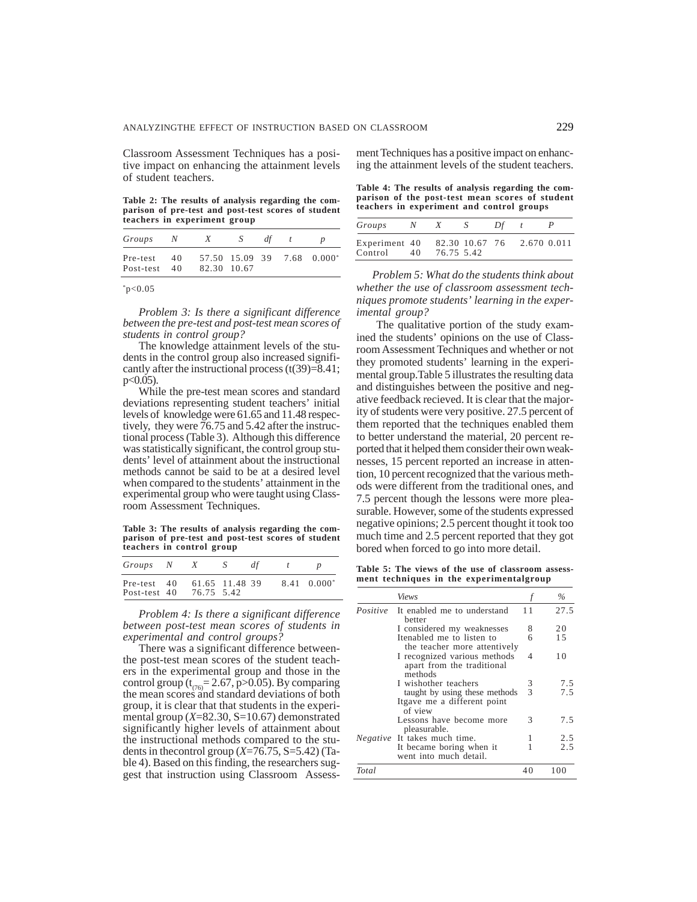Classroom Assessment Techniques has a positive impact on enhancing the attainment levels of student teachers.

**Table 2: The results of analysis regarding the comparison of pre-test and post-test scores of student teachers in experiment group**

| Groups                | N        | X           | S | dt |                            |
|-----------------------|----------|-------------|---|----|----------------------------|
| Pre-test<br>Post-test | 40<br>40 | 82.30 10.67 |   |    | 57.50 15.09 39 7.68 0.000* |

 $*p<0.05$ 

*Problem 3: Is there a significant difference between the pre-test and post-test mean scores of students in control group?*

The knowledge attainment levels of the students in the control group also increased significantly after the instructional process  $(t(39)=8.41)$ ;  $p<0.05$ ).

While the pre-test mean scores and standard deviations representing student teachers' initial levels of knowledge were 61.65 and 11.48 respectively, they were 76.75 and 5.42 after the instructional process (Table 3). Although this difference was statistically significant, the control group students' level of attainment about the instructional methods cannot be said to be at a desired level when compared to the students' attainment in the experimental group who were taught using Classroom Assessment Techniques.

**Table 3: The results of analysis regarding the comparison of pre-test and post-test scores of student teachers in control group**

| Groups N                    | X          | -N             | dt |                      |
|-----------------------------|------------|----------------|----|----------------------|
| Pre-test 40<br>Post-test 40 | 76.75 5.42 | 61.65 11.48 39 |    | $8.41 \quad 0.000^*$ |

*Problem 4: Is there a significant difference between post-test mean scores of students in experimental and control groups?*

There was a significant difference betweenthe post-test mean scores of the student teachers in the experimental group and those in the control group ( $t_{(76)}$ = 2.67, p>0.05). By comparing the mean scores and standard deviations of both group, it is clear that that students in the experimental group (*X*=82.30, S=10.67) demonstrated significantly higher levels of attainment about the instructional methods compared to the students in thecontrol group (*X*=76.75, S=5.42) (Table 4). Based on this finding, the researchers suggest that instruction using Classroom Assessment Techniques has a positive impact on enhancing the attainment levels of the student teachers.

**Table 4: The results of analysis regarding the comparison of the post-test mean scores of student teachers in experiment and control groups**

| Groups                   |    |            | -8             | Df |             |  |
|--------------------------|----|------------|----------------|----|-------------|--|
| Experiment 40<br>Control | 40 | 76.75 5.42 | 82.30 10.67 76 |    | 2.670 0.011 |  |

*Problem 5: What do the students think about whether the use of classroom assessment techniques promote students' learning in the experimental group?*

The qualitative portion of the study examined the students' opinions on the use of Classroom Assessment Techniques and whether or not they promoted students' learning in the experimental group.Table 5 illustrates the resulting data and distinguishes between the positive and negative feedback recieved. It is clear that the majority of students were very positive. 27.5 percent of them reported that the techniques enabled them to better understand the material, 20 percent reported that it helped them consider their own weaknesses, 15 percent reported an increase in attention, 10 percent recognized that the various methods were different from the traditional ones, and 7.5 percent though the lessons were more pleasurable. However, some of the students expressed negative opinions; 2.5 percent thought it took too much time and 2.5 percent reported that they got bored when forced to go into more detail.

**Table 5: The views of the use of classroom assessment techniques in the experimentalgroup**

|       | Views                                                                   |    | $\frac{0}{0}$ |
|-------|-------------------------------------------------------------------------|----|---------------|
|       | <i>Positive</i> It enabled me to understand<br>better                   | 11 | 27.5          |
|       | I considered my weaknesses                                              | 8  | 20            |
|       | Itenabled me to listen to<br>the teacher more attentively               | 6  | 1.5           |
|       | I recognized various methods<br>apart from the traditional<br>methods   | 4  | 10            |
|       | I wishother teachers                                                    | 3  | 7.5           |
|       | taught by using these methods<br>Itgave me a different point<br>of view | 3  | 7.5           |
|       | Lessons have become more<br>pleasurable.                                | 3  | 7.5           |
|       | Negative It takes much time.                                            |    | 2.5           |
|       | It became boring when it<br>went into much detail.                      |    | 2.5           |
| Total |                                                                         | 40 | 100           |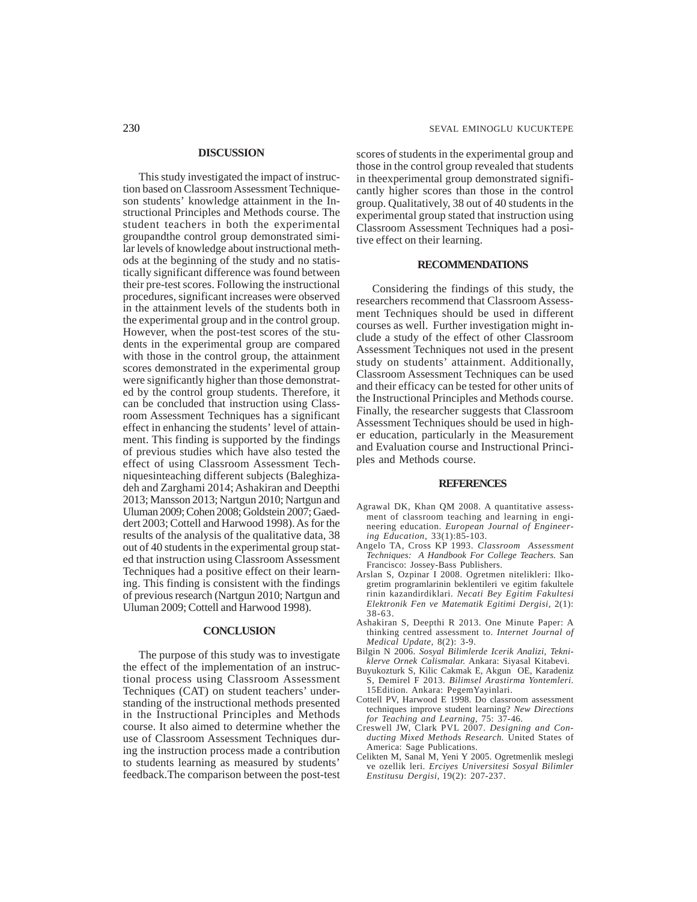#### **DISCUSSION**

This study investigated the impact of instruction based on Classroom Assessment Techniqueson students' knowledge attainment in the Instructional Principles and Methods course. The student teachers in both the experimental groupandthe control group demonstrated similar levels of knowledge about instructional methods at the beginning of the study and no statistically significant difference was found between their pre-test scores. Following the instructional procedures, significant increases were observed in the attainment levels of the students both in the experimental group and in the control group. However, when the post-test scores of the students in the experimental group are compared with those in the control group, the attainment scores demonstrated in the experimental group were significantly higher than those demonstrated by the control group students. Therefore, it can be concluded that instruction using Classroom Assessment Techniques has a significant effect in enhancing the students' level of attainment. This finding is supported by the findings of previous studies which have also tested the effect of using Classroom Assessment Techniquesinteaching different subjects (Baleghizadeh and Zarghami 2014; Ashakiran and Deepthi 2013; Mansson 2013; Nartgun 2010; Nartgun and Uluman 2009; Cohen 2008; Goldstein 2007; Gaeddert 2003; Cottell and Harwood 1998). As for the results of the analysis of the qualitative data, 38 out of 40 students in the experimental group stated that instruction using Classroom Assessment Techniques had a positive effect on their learning. This finding is consistent with the findings of previous research (Nartgun 2010; Nartgun and Uluman 2009; Cottell and Harwood 1998).

#### **CONCLUSION**

The purpose of this study was to investigate the effect of the implementation of an instructional process using Classroom Assessment Techniques (CAT) on student teachers' understanding of the instructional methods presented in the Instructional Principles and Methods course. It also aimed to determine whether the use of Classroom Assessment Techniques during the instruction process made a contribution to students learning as measured by students' feedback.The comparison between the post-test scores of students in the experimental group and those in the control group revealed that students in theexperimental group demonstrated significantly higher scores than those in the control group. Qualitatively, 38 out of 40 students in the experimental group stated that instruction using Classroom Assessment Techniques had a positive effect on their learning.

#### **RECOMMENDATIONS**

Considering the findings of this study, the researchers recommend that Classroom Assessment Techniques should be used in different courses as well. Further investigation might include a study of the effect of other Classroom Assessment Techniques not used in the present study on students' attainment. Additionally, Classroom Assessment Techniques can be used and their efficacy can be tested for other units of the Instructional Principles and Methods course. Finally, the researcher suggests that Classroom Assessment Techniques should be used in higher education, particularly in the Measurement and Evaluation course and Instructional Principles and Methods course.

#### **REFERENCES**

- Agrawal DK, Khan QM 2008. A quantitative assessment of classroom teaching and learning in engineering education. *European Journal of Engineering Education*, 33(1):85-103.
- Angelo TA, Cross KP 1993. *Classroom Assessment Techniques: A Handbook For College Teachers.* San Francisco: Jossey-Bass Publishers.
- Arslan S, Ozpinar I 2008. Ogretmen nitelikleri: Ilkogretim programlarinin beklentileri ve egitim fakultele rinin kazandirdiklari. *Necati Bey Egitim Fakultesi Elektronik Fen ve Matematik Egitimi Dergisi,* 2(1): 38-63.
- Ashakiran S, Deepthi R 2013. One Minute Paper: A thinking centred assessment to. *Internet Journal of Medical Update,* 8(2): 3-9.
- Bilgin N 2006. *Sosyal Bilimlerde Icerik Analizi, Tekniklerve Ornek Calismalar.* Ankara: Siyasal Kitabevi.
- Buyukozturk S, Kilic Cakmak E, Akgun OE, Karadeniz S, Demirel F 2013. *Bilimsel Arastirma Yontemleri*. 15Edition. Ankara: PegemYayinlari.
- Cottell PV, Harwood E 1998. Do classroom assessment techniques improve student learning? *New Directions for Teaching and Learning*, 75: 37-46.
- Creswell JW, Clark PVL 2007. *Designing and Conducting Mixed Methods Research.* United States of America: Sage Publications.
- Celikten M, Sanal M, Yeni Y 2005. Ogretmenlik meslegi ve ozellik leri. *Erciyes Universitesi Sosyal Bilimler Enstitusu Dergisi,* 19(2): 207-237.